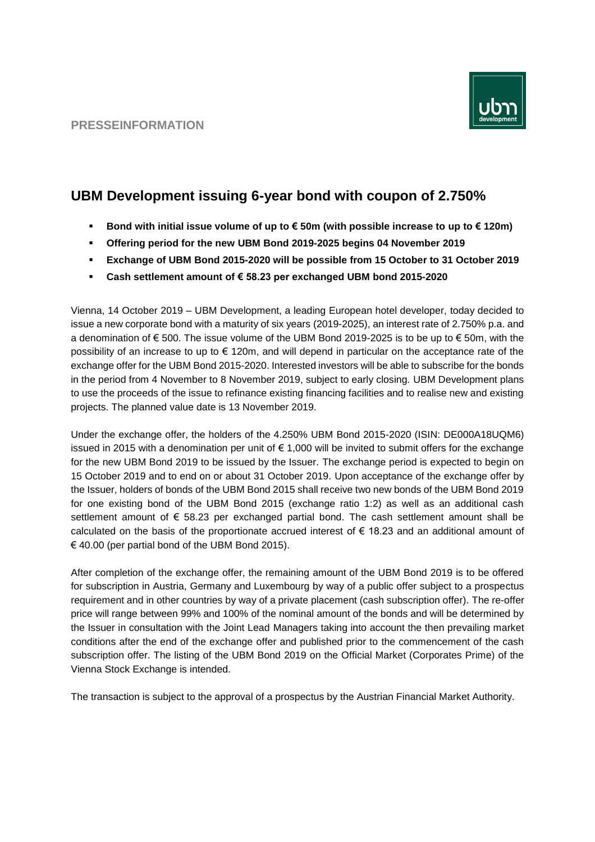

# **UBM Development issuing 6-year bond with coupon of 2.750%**

- **Bond with initial issue volume of up to € 50m (with possible increase to up to € 120m)**
- **Offering period for the new UBM Bond 2019-2025 begins 04 November 2019**
- **Exchange of UBM Bond 2015-2020 will be possible from 15 October to 31 October 2019**
- **Cash settlement amount of € 58.23 per exchanged UBM bond 2015-2020**

Vienna, 14 October 2019 – UBM Development, a leading European hotel developer, today decided to issue a new corporate bond with a maturity of six years (2019-2025), an interest rate of 2.750% p.a. and a denomination of € 500. The issue volume of the UBM Bond 2019-2025 is to be up to € 50m, with the possibility of an increase to up to € 120m, and will depend in particular on the acceptance rate of the exchange offer for the UBM Bond 2015-2020. Interested investors will be able to subscribe for the bonds in the period from 4 November to 8 November 2019, subject to early closing. UBM Development plans to use the proceeds of the issue to refinance existing financing facilities and to realise new and existing projects. The planned value date is 13 November 2019.

Under the exchange offer, the holders of the 4.250% UBM Bond 2015-2020 (ISIN: DE000A18UQM6) issued in 2015 with a denomination per unit of € 1,000 will be invited to submit offers for the exchange for the new UBM Bond 2019 to be issued by the Issuer. The exchange period is expected to begin on 15 October 2019 and to end on or about 31 October 2019. Upon acceptance of the exchange offer by the Issuer, holders of bonds of the UBM Bond 2015 shall receive two new bonds of the UBM Bond 2019 for one existing bond of the UBM Bond 2015 (exchange ratio 1:2) as well as an additional cash settlement amount of € 58.23 per exchanged partial bond. The cash settlement amount shall be calculated on the basis of the proportionate accrued interest of  $\epsilon$  18.23 and an additional amount of  $\epsilon$  40.00 (per partial bond of the UBM Bond 2015).

After completion of the exchange offer, the remaining amount of the UBM Bond 2019 is to be offered for subscription in Austria, Germany and Luxembourg by way of a public offer subject to a prospectus requirement and in other countries by way of a private placement (cash subscription offer). The re-offer price will range between 99% and 100% of the nominal amount of the bonds and will be determined by the Issuer in consultation with the Joint Lead Managers taking into account the then prevailing market conditions after the end of the exchange offer and published prior to the commencement of the cash subscription offer. The listing of the UBM Bond 2019 on the Official Market (Corporates Prime) of the Vienna Stock Exchange is intended.

The transaction is subject to the approval of a prospectus by the Austrian Financial Market Authority.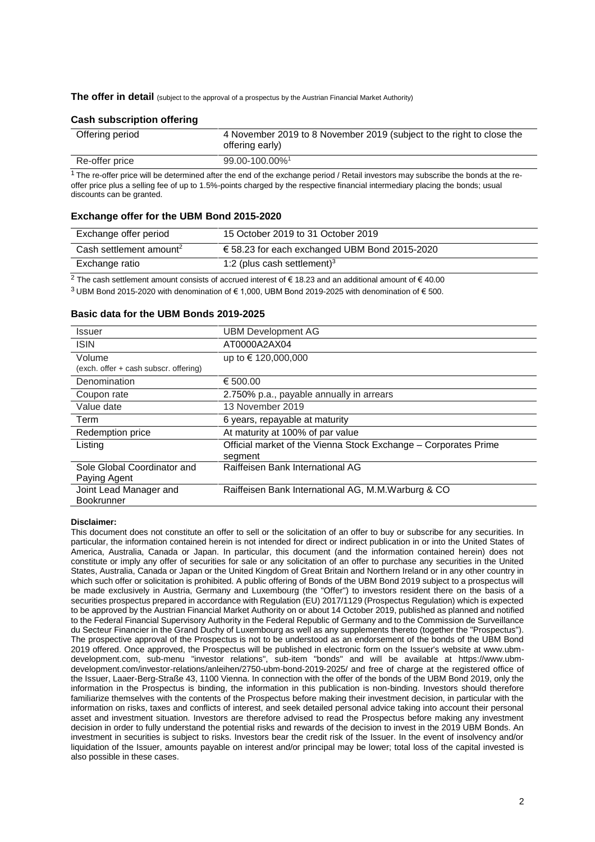The offer in detail (subject to the approval of a prospectus by the Austrian Financial Market Authority)

## **Cash subscription offering**

| Offering period | 4 November 2019 to 8 November 2019 (subject to the right to close the<br>offering early) |
|-----------------|------------------------------------------------------------------------------------------|
| Re-offer price  | 99.00-100.00% <sup>1</sup>                                                               |

 $1$  The re-offer price will be determined after the end of the exchange period / Retail investors may subscribe the bonds at the reoffer price plus a selling fee of up to 1.5%-points charged by the respective financial intermediary placing the bonds; usual discounts can be granted.

### **Exchange offer for the UBM Bond 2015-2020**

| Exchange offer period               | 15 October 2019 to 31 October 2019                     |
|-------------------------------------|--------------------------------------------------------|
| Cash settlement amount <sup>2</sup> | $\epsilon$ 58.23 for each exchanged UBM Bond 2015-2020 |
| Exchange ratio                      | 1:2 (plus cash settlement) $3$                         |

<sup>2</sup> The cash settlement amount consists of accrued interest of € 18.23 and an additional amount of € 40.00

<sup>3</sup> UBM Bond 2015-2020 with denomination of € 1,000, UBM Bond 2019-2025 with denomination of € 500.

#### **Basic data for the UBM Bonds 2019-2025**

| Issuer                                          | <b>UBM Development AG</b>                                                  |
|-------------------------------------------------|----------------------------------------------------------------------------|
| <b>ISIN</b>                                     | AT0000A2AX04                                                               |
| Volume<br>(exch. offer + cash subscr. offering) | up to € 120,000,000                                                        |
| Denomination                                    | € 500.00                                                                   |
| Coupon rate                                     | 2.750% p.a., payable annually in arrears                                   |
| Value date                                      | 13 November 2019                                                           |
| Term                                            | 6 years, repayable at maturity                                             |
| Redemption price                                | At maturity at 100% of par value                                           |
| Listing                                         | Official market of the Vienna Stock Exchange - Corporates Prime<br>segment |
| Sole Global Coordinator and<br>Paying Agent     | Raiffeisen Bank International AG                                           |
| Joint Lead Manager and<br><b>Bookrunner</b>     | Raiffeisen Bank International AG, M.M. Warburg & CO                        |

#### **Disclaimer:**

This document does not constitute an offer to sell or the solicitation of an offer to buy or subscribe for any securities. In particular, the information contained herein is not intended for direct or indirect publication in or into the United States of America, Australia, Canada or Japan. In particular, this document (and the information contained herein) does not constitute or imply any offer of securities for sale or any solicitation of an offer to purchase any securities in the United States, Australia, Canada or Japan or the United Kingdom of Great Britain and Northern Ireland or in any other country in which such offer or solicitation is prohibited. A public offering of Bonds of the UBM Bond 2019 subject to a prospectus will be made exclusively in Austria, Germany and Luxembourg (the "Offer") to investors resident there on the basis of a securities prospectus prepared in accordance with Regulation (EU) 2017/1129 (Prospectus Regulation) which is expected to be approved by the Austrian Financial Market Authority on or about 14 October 2019, published as planned and notified to the Federal Financial Supervisory Authority in the Federal Republic of Germany and to the Commission de Surveillance du Secteur Financier in the Grand Duchy of Luxembourg as well as any supplements thereto (together the "Prospectus"). The prospective approval of the Prospectus is not to be understood as an endorsement of the bonds of the UBM Bond 2019 offered. Once approved, the Prospectus will be published in electronic form on the Issuer's website at www.ubmdevelopment.com, sub-menu "investor relations", sub-item "bonds" and will be available at [https://www.ubm](https://www.ubm-development.com/?page_id=4503&preview=true)[development.com/investor-relations/anleihen/2750-ubm-bond-2019-2025/](https://www.ubm-development.com/?page_id=4503&preview=true) and free of charge at the registered office of the Issuer, Laaer-Berg-Straße 43, 1100 Vienna. In connection with the offer of the bonds of the UBM Bond 2019, only the information in the Prospectus is binding, the information in this publication is non-binding. Investors should therefore familiarize themselves with the contents of the Prospectus before making their investment decision, in particular with the information on risks, taxes and conflicts of interest, and seek detailed personal advice taking into account their personal asset and investment situation. Investors are therefore advised to read the Prospectus before making any investment decision in order to fully understand the potential risks and rewards of the decision to invest in the 2019 UBM Bonds. An investment in securities is subject to risks. Investors bear the credit risk of the Issuer. In the event of insolvency and/or liquidation of the Issuer, amounts payable on interest and/or principal may be lower; total loss of the capital invested is also possible in these cases.